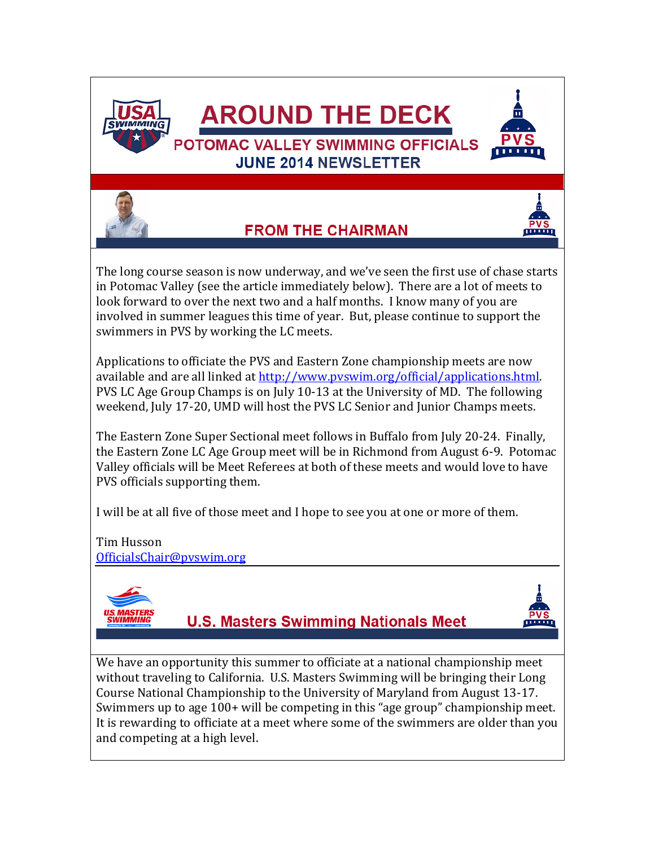

**FROM THE CHAIRMAN** 



The long course season is now underway, and we've seen the first use of chase starts in Potomac Valley (see the article immediately below). There are a lot of meets to look forward to over the next two and a half months. I know many of you are involved in summer leagues this time of year. But, please continue to support the swimmers in PVS by working the LC meets.

Applications to officiate the PVS and Eastern Zone championship meets are now available and are all linked at [http://www.pvswim.org/official/applications.html.](http://www.pvswim.org/official/applications.html) PVS LC Age Group Champs is on July 10-13 at the University of MD. The following weekend, July 17-20, UMD will host the PVS LC Senior and Junior Champs meets.

The Eastern Zone Super Sectional meet follows in Buffalo from July 20-24. Finally, the Eastern Zone LC Age Group meet will be in Richmond from August 6-9. Potomac Valley officials will be Meet Referees at both of these meets and would love to have PVS officials supporting them.

I will be at all five of those meet and I hope to see you at one or more of them.

#### Tim Husson [OfficialsChair@pvswim.org](mailto:OfficialsChair@pvswim.org)



**U.S. Masters Swimming Nationals Meet** 

We have an opportunity this summer to officiate at a national championship meet without traveling to California. U.S. Masters Swimming will be bringing their Long Course National Championship to the University of Maryland from August 13-17. Swimmers up to age 100+ will be competing in this "age group" championship meet. It is rewarding to officiate at a meet where some of the swimmers are older than you and competing at a high level.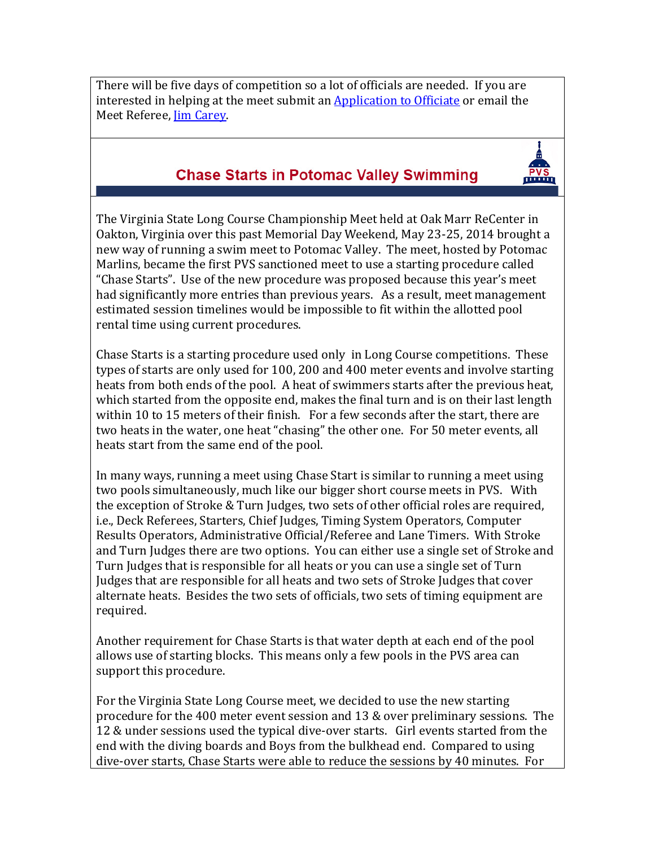There will be five days of competition so a lot of officials are needed. If you are interested in helping at the meet submit an **Application to Officiate** or email the Meet Referee, [Jim Carey.](mailto:eringobragh43@hotmail.com)

### **Chase Starts in Potomac Valley Swimming**

The Virginia State Long Course Championship Meet held at Oak Marr ReCenter in Oakton, Virginia over this past Memorial Day Weekend, May 23-25, 2014 brought a new way of running a swim meet to Potomac Valley. The meet, hosted by Potomac Marlins, became the first PVS sanctioned meet to use a starting procedure called "Chase Starts". Use of the new procedure was proposed because this year's meet had significantly more entries than previous years. As a result, meet management estimated session timelines would be impossible to fit within the allotted pool rental time using current procedures.

Chase Starts is a starting procedure used only in Long Course competitions. These types of starts are only used for 100, 200 and 400 meter events and involve starting heats from both ends of the pool. A heat of swimmers starts after the previous heat, which started from the opposite end, makes the final turn and is on their last length within 10 to 15 meters of their finish. For a few seconds after the start, there are two heats in the water, one heat "chasing" the other one. For 50 meter events, all heats start from the same end of the pool.

In many ways, running a meet using Chase Start is similar to running a meet using two pools simultaneously, much like our bigger short course meets in PVS. With the exception of Stroke & Turn Judges, two sets of other official roles are required, i.e., Deck Referees, Starters, Chief Judges, Timing System Operators, Computer Results Operators, Administrative Official/Referee and Lane Timers. With Stroke and Turn Judges there are two options. You can either use a single set of Stroke and Turn Judges that is responsible for all heats or you can use a single set of Turn Judges that are responsible for all heats and two sets of Stroke Judges that cover alternate heats. Besides the two sets of officials, two sets of timing equipment are required.

Another requirement for Chase Starts is that water depth at each end of the pool allows use of starting blocks. This means only a few pools in the PVS area can support this procedure.

For the Virginia State Long Course meet, we decided to use the new starting procedure for the 400 meter event session and 13 & over preliminary sessions. The 12 & under sessions used the typical dive-over starts. Girl events started from the end with the diving boards and Boys from the bulkhead end. Compared to using dive-over starts, Chase Starts were able to reduce the sessions by 40 minutes. For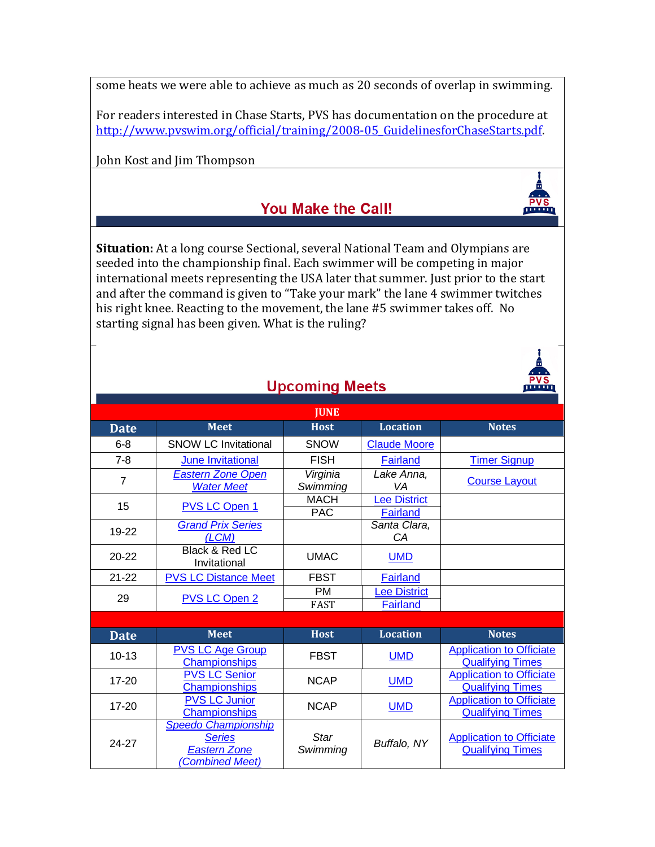some heats we were able to achieve as much as 20 seconds of overlap in swimming.

For readers interested in Chase Starts, PVS has documentation on the procedure at http://www.pvswim.org/official/training/2008-05 GuidelinesforChaseStarts.pdf.

John Kost and Jim Thompson

## You Make the Call!

**Situation:** At a long course Sectional, several National Team and Olympians are seeded into the championship final. Each swimmer will be competing in major international meets representing the USA later that summer. Just prior to the start and after the command is given to "Take your mark" the lane 4 swimmer twitches his right knee. Reacting to the movement, the lane #5 swimmer takes off. No starting signal has been given. What is the ruling?

| . |
|---|
|   |
|   |

minim

| <b>Upcoming Meets</b> |                                                                                             |                           |                                 | <b>THEFT</b>                                               |  |
|-----------------------|---------------------------------------------------------------------------------------------|---------------------------|---------------------------------|------------------------------------------------------------|--|
| <b>JUNE</b>           |                                                                                             |                           |                                 |                                                            |  |
| <b>Date</b>           | <b>Meet</b>                                                                                 | <b>Host</b>               | <b>Location</b>                 | <b>Notes</b>                                               |  |
| $6 - 8$               | <b>SNOW LC Invitational</b>                                                                 | <b>SNOW</b>               | <b>Claude Moore</b>             |                                                            |  |
| $7 - 8$               | <b>June Invitational</b>                                                                    | <b>FISH</b>               | <b>Fairland</b>                 | <b>Timer Signup</b>                                        |  |
| $\overline{7}$        | <b>Eastern Zone Open</b><br><b>Water Meet</b>                                               | Virginia<br>Swimming      | Lake Anna,<br>VA                | <b>Course Layout</b>                                       |  |
| 15                    | PVS LC Open 1                                                                               | <b>MACH</b><br><b>PAC</b> | <b>Lee District</b><br>Fairland |                                                            |  |
| 19-22                 | <b>Grand Prix Series</b><br>(LCM)                                                           |                           | Santa Clara,<br>CA              |                                                            |  |
| $20 - 22$             | Black & Red LC<br>Invitational                                                              | <b>UMAC</b>               | <b>UMD</b>                      |                                                            |  |
| $21 - 22$             | <b>PVS LC Distance Meet</b>                                                                 | <b>FBST</b>               | <b>Fairland</b>                 |                                                            |  |
| 29                    | PVS LC Open 2                                                                               | <b>PM</b><br><b>FAST</b>  | Lee District<br><b>Fairland</b> |                                                            |  |
|                       |                                                                                             |                           |                                 |                                                            |  |
| <b>Date</b>           | <b>Meet</b>                                                                                 | <b>Host</b>               | <b>Location</b>                 | <b>Notes</b>                                               |  |
| $10 - 13$             | <b>PVS LC Age Group</b><br>Championships                                                    | <b>FBST</b>               | <b>UMD</b>                      | <b>Application to Officiate</b><br><b>Qualifying Times</b> |  |
| $17 - 20$             | <b>PVS LC Senior</b><br><b>Championships</b>                                                | <b>NCAP</b>               | <b>UMD</b>                      | <b>Application to Officiate</b><br><b>Qualifying Times</b> |  |
| $17 - 20$             | <b>PVS LC Junior</b><br><b>Championships</b>                                                | <b>NCAP</b>               | <b>UMD</b>                      | <b>Application to Officiate</b><br><b>Qualifying Times</b> |  |
| 24-27                 | <b>Speedo Championship</b><br><b>Series</b><br><b>Eastern Zone</b><br><b>Combined Meet)</b> | <b>Star</b><br>Swimming   | Buffalo, NY                     | <b>Application to Officiate</b><br><b>Qualifying Times</b> |  |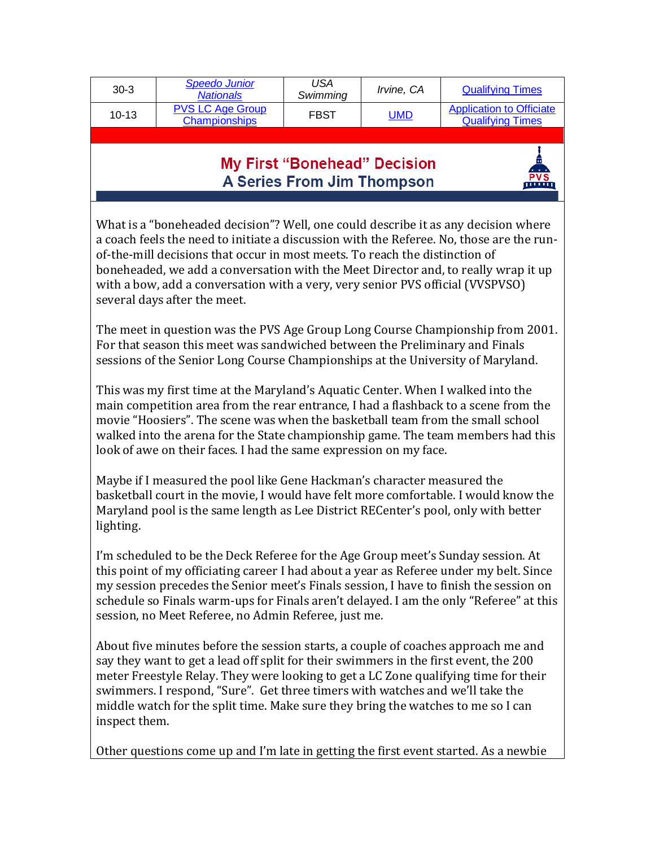| <b>PVS LC Age Group</b><br><b>Application to Officiate</b><br><u>UMD</u><br><b>FBST</b><br>$10-13$<br><b>Championships</b><br><b>Qualifying Times</b> | $30-3$ | <b>Speedo Junior</b><br><b>Nationals</b> | USA<br>Swimming | <i>Irvine</i> , CA | <b>Qualifying Times</b> |
|-------------------------------------------------------------------------------------------------------------------------------------------------------|--------|------------------------------------------|-----------------|--------------------|-------------------------|
|                                                                                                                                                       |        |                                          |                 |                    |                         |

### **My First "Bonehead" Decision A Series From Jim Thompson**

ண்ண

What is a "boneheaded decision"? Well, one could describe it as any decision where a coach feels the need to initiate a discussion with the Referee. No, those are the runof-the-mill decisions that occur in most meets. To reach the distinction of boneheaded, we add a conversation with the Meet Director and, to really wrap it up with a bow, add a conversation with a very, very senior PVS official (VVSPVSO) several days after the meet.

The meet in question was the PVS Age Group Long Course Championship from 2001. For that season this meet was sandwiched between the Preliminary and Finals sessions of the Senior Long Course Championships at the University of Maryland.

This was my first time at the Maryland's Aquatic Center. When I walked into the main competition area from the rear entrance, I had a flashback to a scene from the movie "Hoosiers". The scene was when the basketball team from the small school walked into the arena for the State championship game. The team members had this look of awe on their faces. I had the same expression on my face.

Maybe if I measured the pool like Gene Hackman's character measured the basketball court in the movie, I would have felt more comfortable. I would know the Maryland pool is the same length as Lee District RECenter's pool, only with better lighting.

I'm scheduled to be the Deck Referee for the Age Group meet's Sunday session. At this point of my officiating career I had about a year as Referee under my belt. Since my session precedes the Senior meet's Finals session, I have to finish the session on schedule so Finals warm-ups for Finals aren't delayed. I am the only "Referee" at this session, no Meet Referee, no Admin Referee, just me.

About five minutes before the session starts, a couple of coaches approach me and say they want to get a lead off split for their swimmers in the first event, the 200 meter Freestyle Relay. They were looking to get a LC Zone qualifying time for their swimmers. I respond, "Sure". Get three timers with watches and we'll take the middle watch for the split time. Make sure they bring the watches to me so I can inspect them.

Other questions come up and I'm late in getting the first event started. As a newbie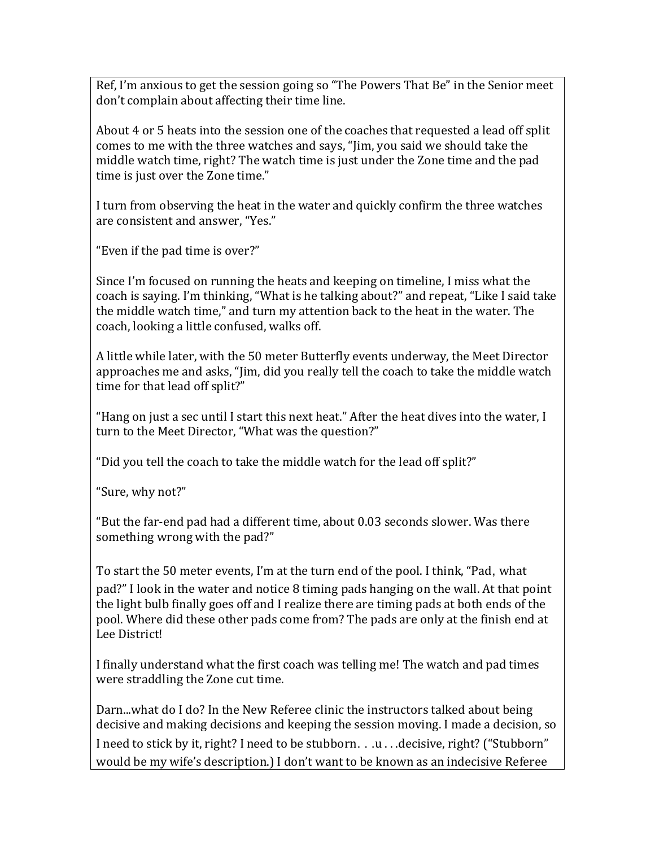Ref, I'm anxious to get the session going so "The Powers That Be" in the Senior meet don't complain about affecting their time line.

About 4 or 5 heats into the session one of the coaches that requested a lead off split comes to me with the three watches and says, "Jim, you said we should take the middle watch time, right? The watch time is just under the Zone time and the pad time is just over the Zone time."

I turn from observing the heat in the water and quickly confirm the three watches are consistent and answer, "Yes."

"Even if the pad time is over?"

Since I'm focused on running the heats and keeping on timeline, I miss what the coach is saying. I'm thinking, "What is he talking about?" and repeat, "Like I said take the middle watch time," and turn my attention back to the heat in the water. The coach, looking a little confused, walks off.

A little while later, with the 50 meter Butterfly events underway, the Meet Director approaches me and asks, "Jim, did you really tell the coach to take the middle watch time for that lead off split?"

"Hang on just a sec until I start this next heat." After the heat dives into the water, I turn to the Meet Director, "What was the question?"

"Did you tell the coach to take the middle watch for the lead off split?"

"Sure, why not?"

"But the far-end pad had a different time, about 0.03 seconds slower. Was there something wrong with the pad?"

To start the 50 meter events, I'm at the turn end of the pool. I think, "Pad, what pad?" I look in the water and notice 8 timing pads hanging on the wall. At that point the light bulb finally goes off and I realize there are timing pads at both ends of the pool. Where did these other pads come from? The pads are only at the finish end at Lee District!

I finally understand what the first coach was telling me! The watch and pad times were straddling the Zone cut time.

Darn...what do I do? In the New Referee clinic the instructors talked about being decisive and making decisions and keeping the session moving. I made a decision, so I need to stick by it, right? I need to be stubborn. . .u . . .decisive, right? ("Stubborn" would be my wife's description.) I don't want to be known as an indecisive Referee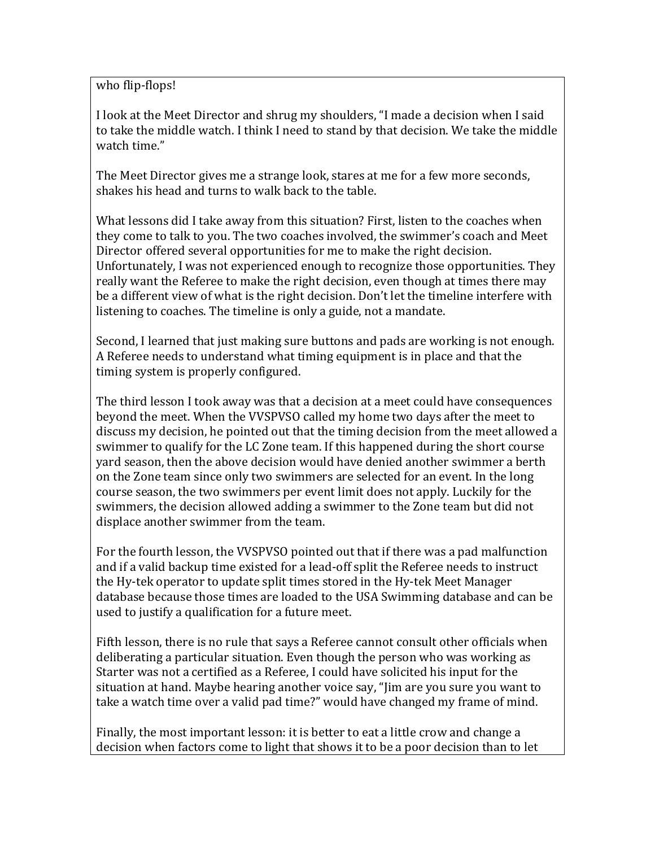who flip-flops!

I look at the Meet Director and shrug my shoulders, "I made a decision when I said to take the middle watch. I think I need to stand by that decision. We take the middle watch time."

The Meet Director gives me a strange look, stares at me for a few more seconds, shakes his head and turns to walk back to the table.

What lessons did I take away from this situation? First, listen to the coaches when they come to talk to you. The two coaches involved, the swimmer's coach and Meet Director offered several opportunities for me to make the right decision. Unfortunately, I was not experienced enough to recognize those opportunities. They really want the Referee to make the right decision, even though at times there may be a different view of what is the right decision. Don't let the timeline interfere with listening to coaches. The timeline is only a guide, not a mandate.

Second, I learned that just making sure buttons and pads are working is not enough. A Referee needs to understand what timing equipment is in place and that the timing system is properly configured.

The third lesson I took away was that a decision at a meet could have consequences beyond the meet. When the VVSPVSO called my home two days after the meet to discuss my decision, he pointed out that the timing decision from the meet allowed a swimmer to qualify for the LC Zone team. If this happened during the short course yard season, then the above decision would have denied another swimmer a berth on the Zone team since only two swimmers are selected for an event. In the long course season, the two swimmers per event limit does not apply. Luckily for the swimmers, the decision allowed adding a swimmer to the Zone team but did not displace another swimmer from the team.

For the fourth lesson, the VVSPVSO pointed out that if there was a pad malfunction and if a valid backup time existed for a lead-off split the Referee needs to instruct the Hy-tek operator to update split times stored in the Hy-tek Meet Manager database because those times are loaded to the USA Swimming database and can be used to justify a qualification for a future meet.

Fifth lesson, there is no rule that says a Referee cannot consult other officials when deliberating a particular situation. Even though the person who was working as Starter was not a certified as a Referee, I could have solicited his input for the situation at hand. Maybe hearing another voice say, "Jim are you sure you want to take a watch time over a valid pad time?" would have changed my frame of mind.

Finally, the most important lesson: it is better to eat a little crow and change a decision when factors come to light that shows it to be a poor decision than to let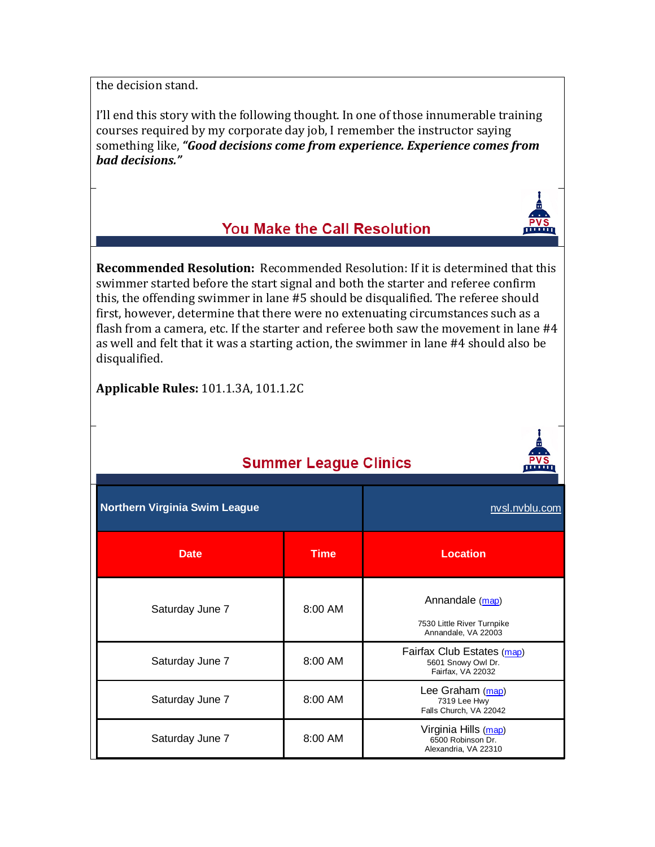the decision stand.

I'll end this story with the following thought. In one of those innumerable training courses required by my corporate day job, I remember the instructor saying something like, *"Good decisions come from experience. Experience comes from bad decisions."*

## You Make the Call Resolution

**Recommended Resolution:** Recommended Resolution: If it is determined that this swimmer started before the start signal and both the starter and referee confirm this, the offending swimmer in lane #5 should be disqualified. The referee should first, however, determine that there were no extenuating circumstances such as a flash from a camera, etc. If the starter and referee both saw the movement in lane #4 as well and felt that it was a starting action, the swimmer in lane #4 should also be disqualified.

**Applicable Rules:** 101.1.3A, 101.1.2C

| <b>Summer League Clinics</b>         |             |                                                                       |  |  |
|--------------------------------------|-------------|-----------------------------------------------------------------------|--|--|
| <b>Northern Virginia Swim League</b> |             | nvsl.nvblu.com                                                        |  |  |
| <b>Date</b>                          | <b>Time</b> | <b>Location</b>                                                       |  |  |
| Saturday June 7                      | 8:00 AM     | Annandale (map)<br>7530 Little River Turnpike<br>Annandale, VA 22003  |  |  |
| Saturday June 7                      | 8:00 AM     | Fairfax Club Estates (map)<br>5601 Snowy Owl Dr.<br>Fairfax, VA 22032 |  |  |
| Saturday June 7                      | 8:00 AM     | Lee Graham (map)<br>7319 Lee Hwy<br>Falls Church, VA 22042            |  |  |
| Saturday June 7                      | 8:00 AM     | Virginia Hills (map)<br>6500 Robinson Dr.<br>Alexandria, VA 22310     |  |  |

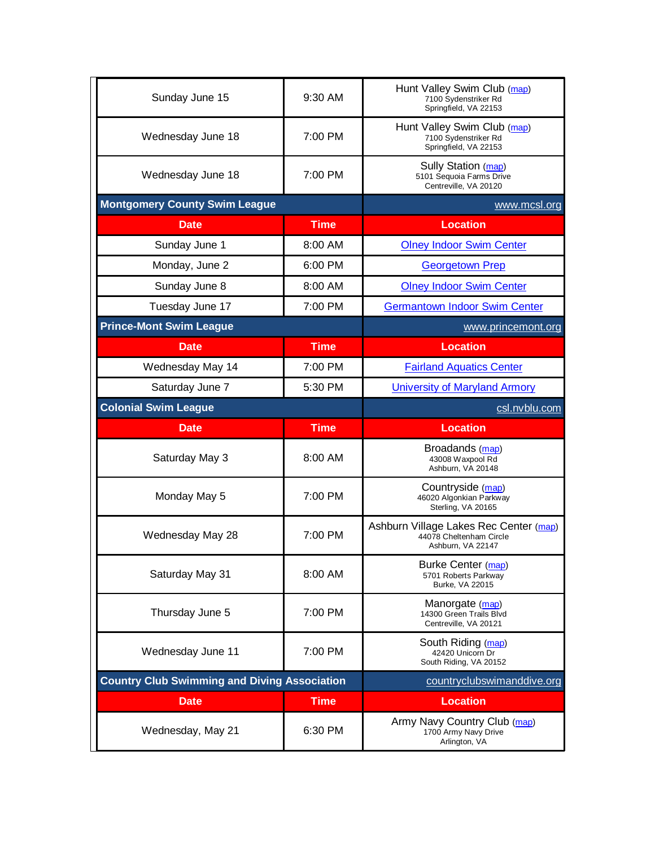| Sunday June 15                                      | $9:30$ AM         | Hunt Valley Swim Club (map)<br>7100 Sydenstriker Rd<br>Springfield, VA 22153           |
|-----------------------------------------------------|-------------------|----------------------------------------------------------------------------------------|
| Wednesday June 18                                   | $7:00 \text{ PM}$ | Hunt Valley Swim Club (map)<br>7100 Sydenstriker Rd<br>Springfield, VA 22153           |
| Wednesday June 18                                   | 7:00 PM           | Sully Station (map)<br>5101 Sequoia Farms Drive<br>Centreville, VA 20120               |
| <b>Montgomery County Swim League</b>                |                   | www.mcsl.org                                                                           |
| <b>Date</b>                                         | <b>Time</b>       | <b>Location</b>                                                                        |
| Sunday June 1                                       | 8:00 AM           | <b>Olney Indoor Swim Center</b>                                                        |
| Monday, June 2                                      | 6:00 PM           | <b>Georgetown Prep</b>                                                                 |
| Sunday June 8                                       | 8:00 AM           | <b>Olney Indoor Swim Center</b>                                                        |
| Tuesday June 17                                     | 7:00 PM           | <b>Germantown Indoor Swim Center</b>                                                   |
| <b>Prince-Mont Swim League</b>                      |                   | www.princemont.org                                                                     |
| <b>Date</b>                                         | <b>Time</b>       | <b>Location</b>                                                                        |
| Wednesday May 14                                    | 7:00 PM           | <b>Fairland Aquatics Center</b>                                                        |
| Saturday June 7                                     | 5:30 PM           | <b>University of Maryland Armory</b>                                                   |
| <b>Colonial Swim League</b>                         |                   | csl.nvblu.com                                                                          |
|                                                     |                   |                                                                                        |
| <b>Date</b>                                         | <b>Time</b>       | <b>Location</b>                                                                        |
| Saturday May 3                                      | 8:00 AM           | Broadands (map)<br>43008 Waxpool Rd<br>Ashburn, VA 20148                               |
| Monday May 5                                        | 7:00 PM           | Countryside (map)<br>46020 Algonkian Parkway<br>Sterling, VA 20165                     |
| Wednesday May 28                                    | 7:00 PM           | Ashburn Village Lakes Rec Center (map)<br>44078 Cheltenham Circle<br>Ashburn, VA 22147 |
| Saturday May 31                                     | 8:00 AM           | Burke Center (map)<br>5701 Roberts Parkway<br>Burke, VA 22015                          |
| Thursday June 5                                     | 7:00 PM           | Manorgate (map)<br>14300 Green Trails Blvd<br>Centreville, VA 20121                    |
| Wednesday June 11                                   | 7:00 PM           | South Riding (map)<br>42420 Unicorn Dr<br>South Riding, VA 20152                       |
| <b>Country Club Swimming and Diving Association</b> |                   | countryclubswimanddive.org                                                             |
| Date                                                | <b>Time</b>       | <b>Location</b>                                                                        |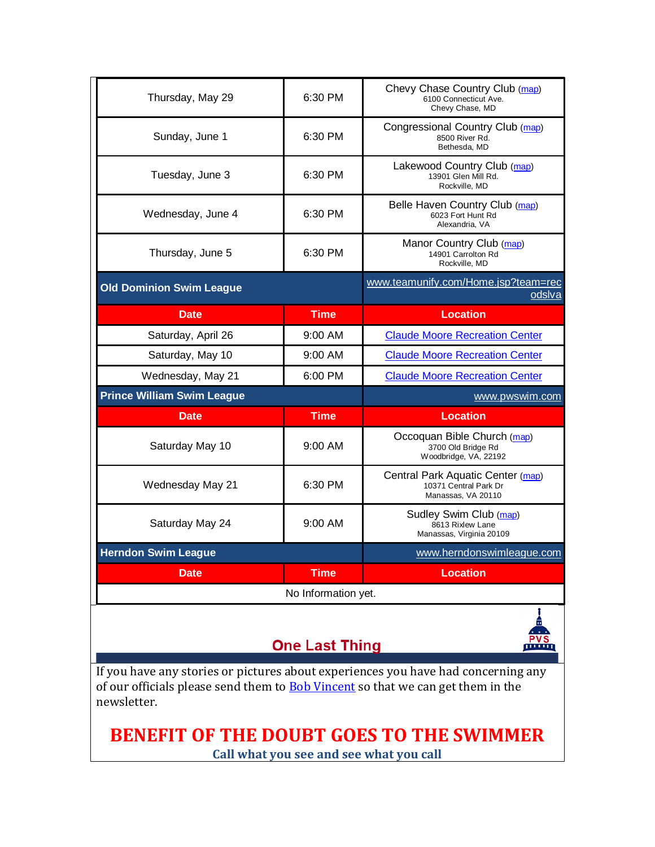| Thursday, May 29                  | 6:30 PM     | Chevy Chase Country Club (map)<br>6100 Connecticut Ave.<br>Chevy Chase, MD       |  |
|-----------------------------------|-------------|----------------------------------------------------------------------------------|--|
| Sunday, June 1                    | 6:30 PM     | Congressional Country Club (map)<br>8500 River Rd.<br>Bethesda, MD               |  |
| Tuesday, June 3                   | 6:30 PM     | Lakewood Country Club (map)<br>13901 Glen Mill Rd.<br>Rockville, MD              |  |
| Wednesday, June 4                 | 6:30 PM     | Belle Haven Country Club (map)<br>6023 Fort Hunt Rd<br>Alexandria, VA            |  |
| Thursday, June 5                  | 6:30 PM     | Manor Country Club (map)<br>14901 Carrolton Rd<br>Rockville, MD                  |  |
| <b>Old Dominion Swim League</b>   |             | www.teamunify.com/Home.jsp?team=rec<br>odslva                                    |  |
|                                   |             |                                                                                  |  |
| <b>Date</b>                       | <b>Time</b> | <b>Location</b>                                                                  |  |
| Saturday, April 26                | 9:00 AM     | <b>Claude Moore Recreation Center</b>                                            |  |
| Saturday, May 10                  | $9:00$ AM   | <b>Claude Moore Recreation Center</b>                                            |  |
| Wednesday, May 21                 | 6:00 PM     | <b>Claude Moore Recreation Center</b>                                            |  |
| <b>Prince William Swim League</b> |             | www.pwswim.com                                                                   |  |
| <b>Date</b>                       | Time        | <b>Location</b>                                                                  |  |
| Saturday May 10                   | $9:00$ AM   | Occoquan Bible Church (map)<br>3700 Old Bridge Rd<br>Woodbridge, VA, 22192       |  |
| Wednesday May 21                  | 6:30 PM     | Central Park Aquatic Center (map)<br>10371 Central Park Dr<br>Manassas, VA 20110 |  |
| Saturday May 24                   | 9:00 AM     | Sudley Swim Club (map)<br>8613 Rixlew Lane<br>Manassas, Virginia 20109           |  |
| <b>Herndon Swim League</b>        |             | www.herndonswimleague.com                                                        |  |
| Date                              | <b>Time</b> | <b>Location</b>                                                                  |  |
| No Information yet.               |             |                                                                                  |  |
|                                   |             | î                                                                                |  |

# **One Last Thing**



If you have any stories or pictures about experiences you have had concerning any of our officials please send them to [Bob Vincent](mailto:bobvincent@vwi.com) so that we can get them in the newsletter.

**BENEFIT OF THE DOUBT GOES TO THE SWIMMER Call what you see and see what you call**